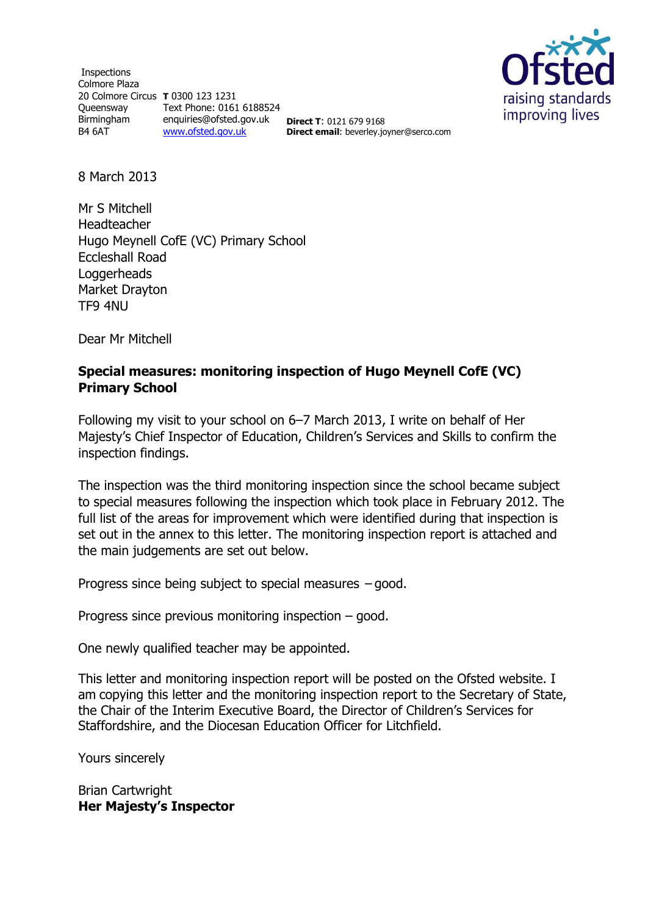Inspections Colmore Plaza 20 Colmore Circus **T** 0300 123 1231 Queensway Text Phone: 0161 6188524 Birmingham B4 6AT enquiries@ofsted.gov.uk [www.ofsted.gov.uk](http://www.ofsted.gov.uk/) **Direct T**: 0121 679 9168 **Direct email**: beverley.joyner@serco.com



8 March 2013

Mr S Mitchell Headteacher Hugo Meynell CofE (VC) Primary School Eccleshall Road Loggerheads Market Drayton TF9 4NU

Dear Mr Mitchell

### **Special measures: monitoring inspection of Hugo Meynell CofE (VC) Primary School**

Following my visit to your school on 6–7 March 2013, I write on behalf of Her Majesty's Chief Inspector of Education, Children's Services and Skills to confirm the inspection findings.

The inspection was the third monitoring inspection since the school became subject to special measures following the inspection which took place in February 2012. The full list of the areas for improvement which were identified during that inspection is set out in the annex to this letter. The monitoring inspection report is attached and the main judgements are set out below.

Progress since being subject to special measures – good.

Progress since previous monitoring inspection – good.

One newly qualified teacher may be appointed.

This letter and monitoring inspection report will be posted on the Ofsted website. I am copying this letter and the monitoring inspection report to the Secretary of State, the Chair of the Interim Executive Board, the Director of Children's Services for Staffordshire, and the Diocesan Education Officer for Litchfield.

Yours sincerely

Brian Cartwright **Her Majesty's Inspector**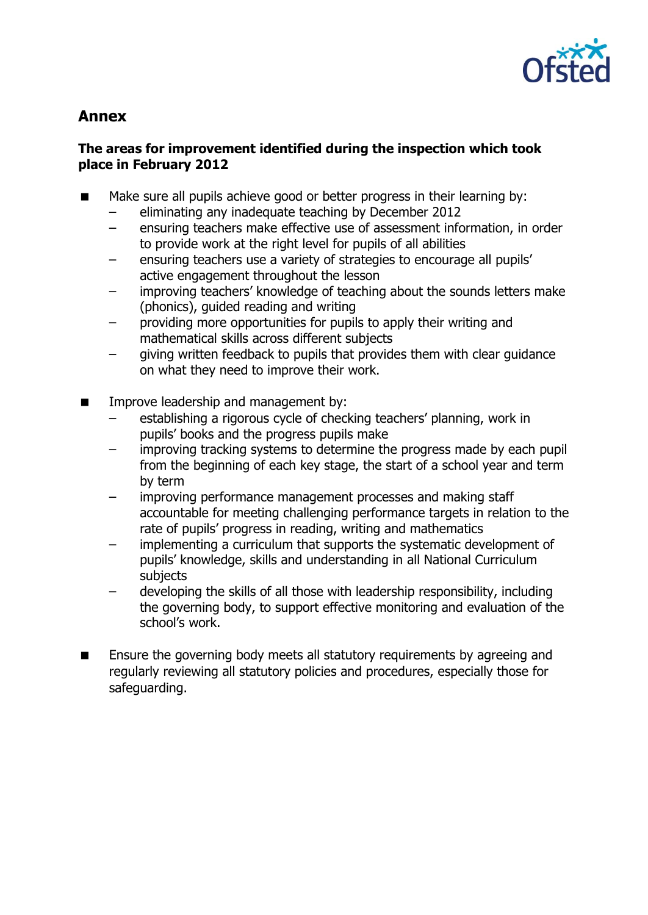

# **Annex**

## **The areas for improvement identified during the inspection which took place in February 2012**

- Make sure all pupils achieve good or better progress in their learning by:
	- eliminating any inadequate teaching by December 2012
	- ensuring teachers make effective use of assessment information, in order to provide work at the right level for pupils of all abilities
	- ensuring teachers use a variety of strategies to encourage all pupils' active engagement throughout the lesson
	- improving teachers' knowledge of teaching about the sounds letters make (phonics), guided reading and writing
	- providing more opportunities for pupils to apply their writing and mathematical skills across different subjects
	- giving written feedback to pupils that provides them with clear guidance on what they need to improve their work.
- **IMPROPED EXAM** Improve leadership and management by:
	- establishing a rigorous cycle of checking teachers' planning, work in pupils' books and the progress pupils make
	- improving tracking systems to determine the progress made by each pupil from the beginning of each key stage, the start of a school year and term by term
	- improving performance management processes and making staff accountable for meeting challenging performance targets in relation to the rate of pupils' progress in reading, writing and mathematics
	- implementing a curriculum that supports the systematic development of pupils' knowledge, skills and understanding in all National Curriculum subjects
	- developing the skills of all those with leadership responsibility, including the governing body, to support effective monitoring and evaluation of the school's work.
- **Ensure the governing body meets all statutory requirements by agreeing and** regularly reviewing all statutory policies and procedures, especially those for safeguarding.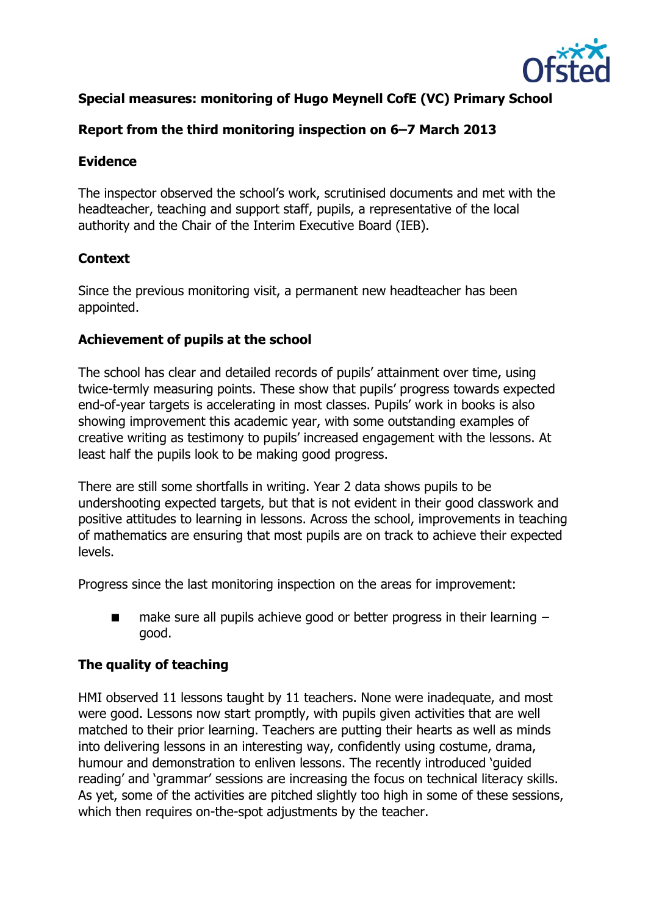

# **Special measures: monitoring of Hugo Meynell CofE (VC) Primary School**

## **Report from the third monitoring inspection on 6–7 March 2013**

### **Evidence**

The inspector observed the school's work, scrutinised documents and met with the headteacher, teaching and support staff, pupils, a representative of the local authority and the Chair of the Interim Executive Board (IEB).

# **Context**

Since the previous monitoring visit, a permanent new headteacher has been appointed.

#### **Achievement of pupils at the school**

The school has clear and detailed records of pupils' attainment over time, using twice-termly measuring points. These show that pupils' progress towards expected end-of-year targets is accelerating in most classes. Pupils' work in books is also showing improvement this academic year, with some outstanding examples of creative writing as testimony to pupils' increased engagement with the lessons. At least half the pupils look to be making good progress.

There are still some shortfalls in writing. Year 2 data shows pupils to be undershooting expected targets, but that is not evident in their good classwork and positive attitudes to learning in lessons. Across the school, improvements in teaching of mathematics are ensuring that most pupils are on track to achieve their expected levels.

Progress since the last monitoring inspection on the areas for improvement:

**make sure all pupils achieve good or better progress in their learning**  $$ good.

#### **The quality of teaching**

HMI observed 11 lessons taught by 11 teachers. None were inadequate, and most were good. Lessons now start promptly, with pupils given activities that are well matched to their prior learning. Teachers are putting their hearts as well as minds into delivering lessons in an interesting way, confidently using costume, drama, humour and demonstration to enliven lessons. The recently introduced 'guided reading' and 'grammar' sessions are increasing the focus on technical literacy skills. As yet, some of the activities are pitched slightly too high in some of these sessions, which then requires on-the-spot adjustments by the teacher.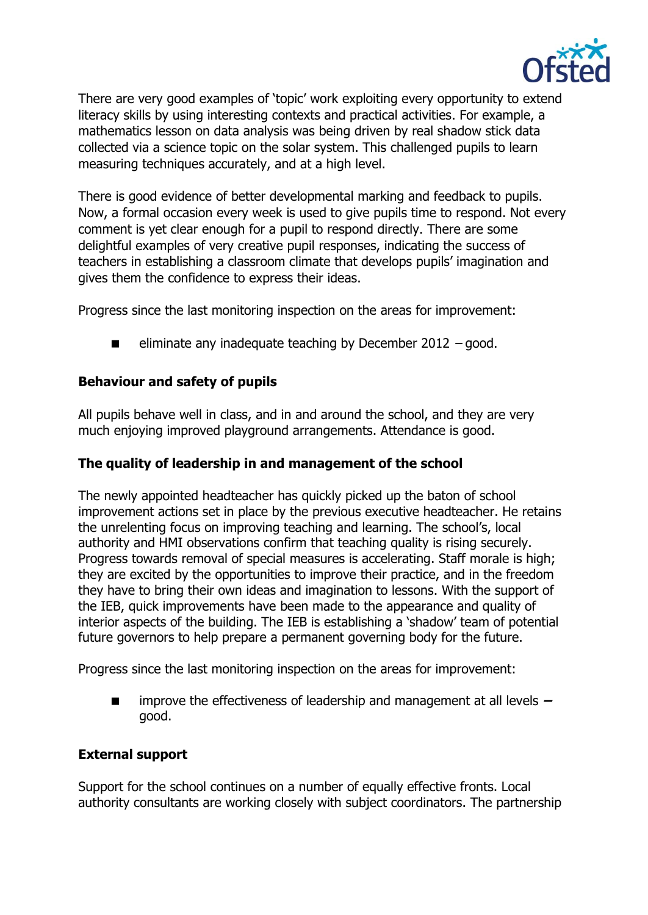

There are very good examples of 'topic' work exploiting every opportunity to extend literacy skills by using interesting contexts and practical activities. For example, a mathematics lesson on data analysis was being driven by real shadow stick data collected via a science topic on the solar system. This challenged pupils to learn measuring techniques accurately, and at a high level.

There is good evidence of better developmental marking and feedback to pupils. Now, a formal occasion every week is used to give pupils time to respond. Not every comment is yet clear enough for a pupil to respond directly. There are some delightful examples of very creative pupil responses, indicating the success of teachers in establishing a classroom climate that develops pupils' imagination and gives them the confidence to express their ideas.

Progress since the last monitoring inspection on the areas for improvement:

eliminate any inadequate teaching by December 2012 – good.

### **Behaviour and safety of pupils**

All pupils behave well in class, and in and around the school, and they are very much enjoying improved playground arrangements. Attendance is good.

### **The quality of leadership in and management of the school**

The newly appointed headteacher has quickly picked up the baton of school improvement actions set in place by the previous executive headteacher. He retains the unrelenting focus on improving teaching and learning. The school's, local authority and HMI observations confirm that teaching quality is rising securely. Progress towards removal of special measures is accelerating. Staff morale is high; they are excited by the opportunities to improve their practice, and in the freedom they have to bring their own ideas and imagination to lessons. With the support of the IEB, quick improvements have been made to the appearance and quality of interior aspects of the building. The IEB is establishing a 'shadow' team of potential future governors to help prepare a permanent governing body for the future.

Progress since the last monitoring inspection on the areas for improvement:

 improve the effectiveness of leadership and management at all levels **–** good.

#### **External support**

Support for the school continues on a number of equally effective fronts. Local authority consultants are working closely with subject coordinators. The partnership